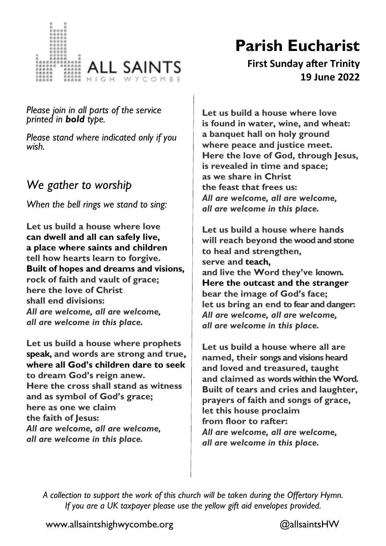

# **Parish Eucharist**

**First Sunday after Trinity 19 June 2022**

*Please join in all parts of the service printed in bold type.* 

*Please stand where indicated only if you wish.* 

# *We gather to worship*

*When the bell rings we stand to sing:*

**Let us build a house where love can dwell and all can safely live, a place where saints and children tell how hearts learn to forgive. Built of hopes and dreams and visions, rock of faith and vault of grace; here the love of Christ shall end divisions:** *All are welcome, all are welcome, all are welcome in this place.*

**Let us build a house where prophets speak, and words are strong and true, where all God's children dare to seek to dream God's reign anew. Here the cross shall stand as witness and as symbol of God's grace; here as one we claim the faith of Jesus:** *All are welcome, all are welcome, all are welcome in this place.*

**Let us build a house where love is found in water, wine, and wheat: a banquet hall on holy ground where peace and justice meet. Here the love of God, through Jesus, is revealed in time and space; as we share in Christ the feast that frees us:** *All are welcome, all are welcome, all are welcome in this place.*

**Let us build a house where hands will reach beyond the wood and stone to heal and strengthen, serve and teach, and live the Word they've known. Here the outcast and the stranger bear the image of God's face; let us bring an end to fear and danger:** *All are welcome, all are welcome, all are welcome in this place.*

**Let us build a house where all are named, their songs and visions heard and loved and treasured, taught and claimed as words within the Word. Built of tears and cries and laughter, prayers of faith and songs of grace, let this house proclaim from floor to rafter:** *All are welcome, all are welcome, all are welcome in this place.*

*A collection to support the work of this church will be taken during the Offertory Hymn. If you are a UK taxpayer please use the yellow gift aid envelopes provided.* 

www.allsaintshighwycombe.org @allsaintsHW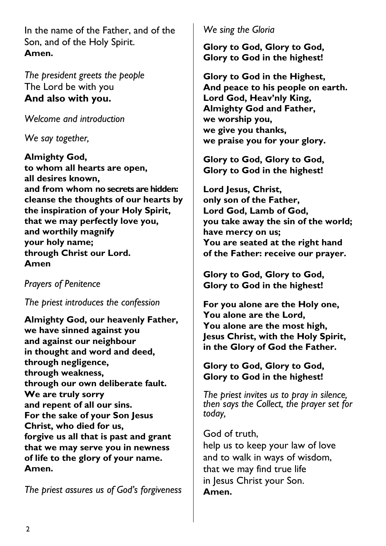In the name of the Father, and of the Son, and of the Holy Spirit. **Amen.** 

*The president greets the people*  The Lord be with you **And also with you.**

*Welcome and introduction* 

*We say together,* 

**Almighty God, to whom all hearts are open, all desires known, and from whom no secrets are hidden: cleanse the thoughts of our hearts by the inspiration of your Holy Spirit, that we may perfectly love you, and worthily magnify your holy name; through Christ our Lord. Amen** 

*Prayers of Penitence* 

*The priest introduces the confession* 

**Almighty God, our heavenly Father, we have sinned against you and against our neighbour in thought and word and deed, through negligence, through weakness, through our own deliberate fault. We are truly sorry and repent of all our sins. For the sake of your Son Jesus Christ, who died for us, forgive us all that is past and grant that we may serve you in newness of life to the glory of your name. Amen.** 

*The priest assures us of God's forgiveness* 

*We sing the Gloria*

**Glory to God, Glory to God, Glory to God in the highest!**

**Glory to God in the Highest, And peace to his people on earth. Lord God, Heav'nly King, Almighty God and Father, we worship you, we give you thanks, we praise you for your glory.**

**Glory to God, Glory to God, Glory to God in the highest!**

**Lord Jesus, Christ, only son of the Father, Lord God, Lamb of God, you take away the sin of the world; have mercy on us; You are seated at the right hand of the Father: receive our prayer.**

**Glory to God, Glory to God, Glory to God in the highest!**

**For you alone are the Holy one, You alone are the Lord, You alone are the most high, Jesus Christ, with the Holy Spirit, in the Glory of God the Father.**

**Glory to God, Glory to God, Glory to God in the highest!**

*The priest invites us to pray in silence, then says the Collect, the prayer set for today,*

God of truth, help us to keep your law of love and to walk in ways of wisdom, that we may find true life in Jesus Christ your Son. **Amen.**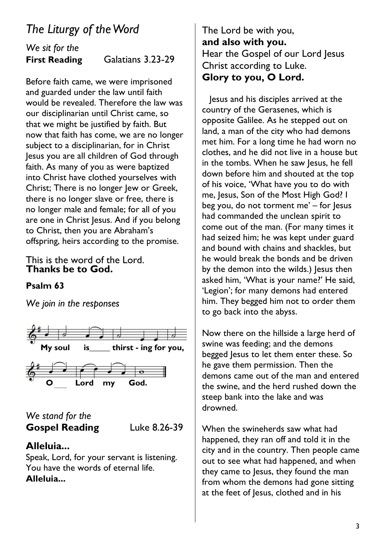# *The Liturgy of the Word*

## *We sit for the*  **First Reading** Galatians 3.23-29

Before faith came, we were imprisoned and guarded under the law until faith would be revealed. Therefore the law was our disciplinarian until Christ came, so that we might be justified by faith. But now that faith has come, we are no longer subject to a disciplinarian, for in Christ Jesus you are all children of God through faith. As many of you as were baptized into Christ have clothed yourselves with Christ; There is no longer lew or Greek, there is no longer slave or free, there is no longer male and female; for all of you are one in Christ Jesus. And if you belong to Christ, then you are Abraham's offspring, heirs according to the promise.

This is the word of the Lord. **Thanks be to God.**

#### **Psalm 63**

*We join in the responses*



*We stand for the*  **Gospel Reading** Luke 8.26-39

### **Alleluia...**

Speak, Lord, for your servant is listening. You have the words of eternal life. **Alleluia...** 

## The Lord be with you, **and also with you.** Hear the Gospel of our Lord Jesus Christ according to Luke. **Glory to you, O Lord.**

Jesus and his disciples arrived at the country of the Gerasenes, which is opposite Galilee. As he stepped out on land, a man of the city who had demons met him. For a long time he had worn no clothes, and he did not live in a house but in the tombs. When he saw Jesus, he fell down before him and shouted at the top of his voice, 'What have you to do with me, Jesus, Son of the Most High God? I beg you, do not torment me' – for Jesus had commanded the unclean spirit to come out of the man. (For many times it had seized him; he was kept under guard and bound with chains and shackles, but he would break the bonds and be driven by the demon into the wilds.) Jesus then asked him, 'What is your name?' He said, 'Legion'; for many demons had entered him. They begged him not to order them to go back into the abyss.

Now there on the hillside a large herd of swine was feeding; and the demons begged Jesus to let them enter these. So he gave them permission. Then the demons came out of the man and entered the swine, and the herd rushed down the steep bank into the lake and was drowned.

When the swineherds saw what had happened, they ran off and told it in the city and in the country. Then people came out to see what had happened, and when they came to Jesus, they found the man from whom the demons had gone sitting at the feet of Jesus, clothed and in his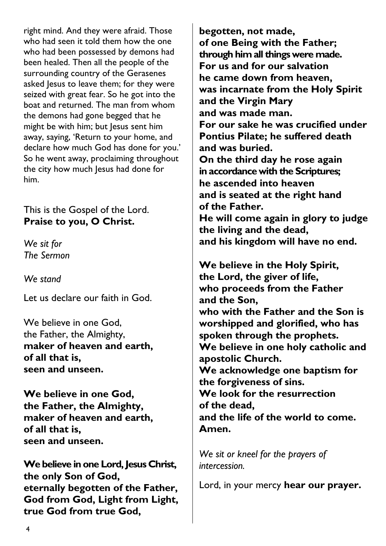right mind. And they were afraid. Those who had seen it told them how the one who had been possessed by demons had been healed. Then all the people of the surrounding country of the Gerasenes asked Jesus to leave them; for they were seized with great fear. So he got into the boat and returned. The man from whom the demons had gone begged that he might be with him; but Jesus sent him away, saying, 'Return to your home, and declare how much God has done for you.' So he went away, proclaiming throughout the city how much lesus had done for him.

This is the Gospel of the Lord. **Praise to you, O Christ.**

*We sit for The Sermon*

*We stand* 

Let us declare our faith in God.

We believe in one God, the Father, the Almighty, **maker of heaven and earth, of all that is, seen and unseen.**

**We believe in one God, the Father, the Almighty, maker of heaven and earth, of all that is, seen and unseen.** 

**We believe in one Lord, Jesus Christ, the only Son of God, eternally begotten of the Father, God from God, Light from Light, true God from true God,**

**begotten, not made, of one Being with the Father; through him all things were made. For us and for our salvation he came down from heaven, was incarnate from the Holy Spirit and the Virgin Mary and was made man. For our sake he was crucified under Pontius Pilate; he suffered death and was buried. On the third day he rose again in accordance with the Scriptures; he ascended into heaven and is seated at the right hand of the Father. He will come again in glory to judge the living and the dead, and his kingdom will have no end.** 

**We believe in the Holy Spirit, the Lord, the giver of life, who proceeds from the Father and the Son, who with the Father and the Son is worshipped and glorified, who has spoken through the prophets. We believe in one holy catholic and apostolic Church. We acknowledge one baptism for the forgiveness of sins. We look for the resurrection of the dead, and the life of the world to come. Amen.** 

*We sit or kneel for the prayers of intercession.* 

Lord, in your mercy **hear our prayer.**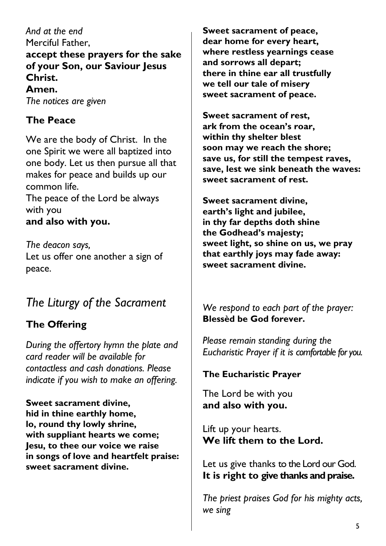*And at the end*  Merciful Father, **accept these prayers for the sake of your Son, our Saviour Jesus Christ. Amen.**  *The notices are given*

# **The Peace**

We are the body of Christ. In the one Spirit we were all baptized into one body. Let us then pursue all that makes for peace and builds up our common life.

The peace of the Lord be always with you **and also with you.** 

*The deacon says,* Let us offer one another a sign of peace.

# *The Liturgy of the Sacrament*

# **The Offering**

*During the offertory hymn the plate and card reader will be available for contactless and cash donations. Please indicate if you wish to make an offering.*

**Sweet sacrament divine, hid in thine earthly home, lo, round thy lowly shrine, with suppliant hearts we come; Jesu, to thee our voice we raise in songs of love and heartfelt praise: sweet sacrament divine.**

**Sweet sacrament of peace, dear home for every heart, where restless yearnings cease and sorrows all depart; there in thine ear all trustfully we tell our tale of misery sweet sacrament of peace.**

**Sweet sacrament of rest, ark from the ocean's roar, within thy shelter blest soon may we reach the shore; save us, for still the tempest raves, save, lest we sink beneath the waves: sweet sacrament of rest.**

**Sweet sacrament divine, earth's light and jubilee, in thy far depths doth shine the Godhead's majesty; sweet light, so shine on us, we pray that earthly joys may fade away: sweet sacrament divine.**

*We respond to each part of the prayer:*  **Blessèd be God forever.** 

*Please remain standing during the Eucharistic Prayer if it is comfortable for you.*

**The Eucharistic Prayer** 

The Lord be with you **and also with you.** 

Lift up your hearts. **We lift them to the Lord.** 

Let us give thanks to the Lord our God. **It is right to give thanks and praise.** 

*The priest praises God for his mighty acts, we sing*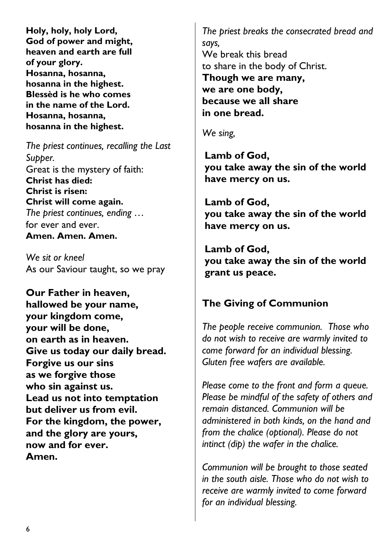**Holy, holy, holy Lord, God of power and might, heaven and earth are full of your glory. Hosanna, hosanna, hosanna in the highest. Blessèd is he who comes in the name of the Lord. Hosanna, hosanna, hosanna in the highest.** 

*The priest continues, recalling the Last Supper.*  Great is the mystery of faith: **Christ has died: Christ is risen: Christ will come again.**  *The priest continues, ending …*  for ever and ever. **Amen. Amen. Amen.**

*We sit or kneel* As our Saviour taught, so we pray

**Our Father in heaven, hallowed be your name, your kingdom come, your will be done, on earth as in heaven. Give us today our daily bread. Forgive us our sins as we forgive those who sin against us. Lead us not into temptation but deliver us from evil. For the kingdom, the power, and the glory are yours, now and for ever. Amen.** 

*The priest breaks the consecrated bread and says,*  We break this bread to share in the body of Christ. **Though we are many, we are one body, because we all share in one bread.**

*We sing,* 

**Lamb of God, you take away the sin of the world have mercy on us.**

**Lamb of God, you take away the sin of the world have mercy on us.**

**Lamb of God, you take away the sin of the world grant us peace.**

## **The Giving of Communion**

*The people receive communion. Those who do not wish to receive are warmly invited to come forward for an individual blessing. Gluten free wafers are available.*

*Please come to the front and form a queue. Please be mindful of the safety of others and remain distanced. Communion will be administered in both kinds, on the hand and from the chalice (optional). Please do not intinct (dip) the wafer in the chalice.*

*Communion will be brought to those seated in the south aisle. Those who do not wish to receive are warmly invited to come forward for an individual blessing.*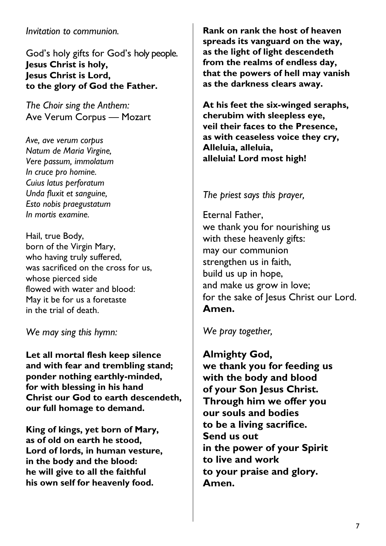*Invitation to communion.* 

God's holy gifts for God's holy people. **Jesus Christ is holy, Jesus Christ is Lord, to the glory of God the Father.**

*The Choir sing the Anthem:* Ave Verum Corpus — Mozart

*Ave, ave verum corpus Natum de Maria Virgine, Vere passum, immolatum In cruce pro homine. Cuius latus perforatum Unda fluxit et sanguine, Esto nobis praegustatum In mortis examine.* 

Hail, true Body, born of the Virgin Mary, who having truly suffered, was sacrificed on the cross for us, whose pierced side flowed with water and blood: May it be for us a foretaste in the trial of death.

*We may sing this hymn:*

**Let all mortal flesh keep silence and with fear and trembling stand; ponder nothing earthly-minded, for with blessing in his hand Christ our God to earth descendeth, our full homage to demand.**

**King of kings, yet born of Mary, as of old on earth he stood, Lord of lords, in human vesture, in the body and the blood: he will give to all the faithful his own self for heavenly food.**

**Rank on rank the host of heaven spreads its vanguard on the way, as the light of light descendeth from the realms of endless day, that the powers of hell may vanish as the darkness clears away.**

**At his feet the six-winged seraphs, cherubim with sleepless eye, veil their faces to the Presence, as with ceaseless voice they cry, Alleluia, alleluia, alleluia! Lord most high!**

#### *The priest says this prayer,*

Eternal Father, we thank you for nourishing us with these heavenly gifts: may our communion strengthen us in faith, build us up in hope, and make us grow in love; for the sake of Jesus Christ our Lord. **Amen.** 

*We pray together,*

**Almighty God, we thank you for feeding us with the body and blood of your Son Jesus Christ. Through him we offer you our souls and bodies to be a living sacrifice. Send us out in the power of your Spirit to live and work to your praise and glory. Amen.**